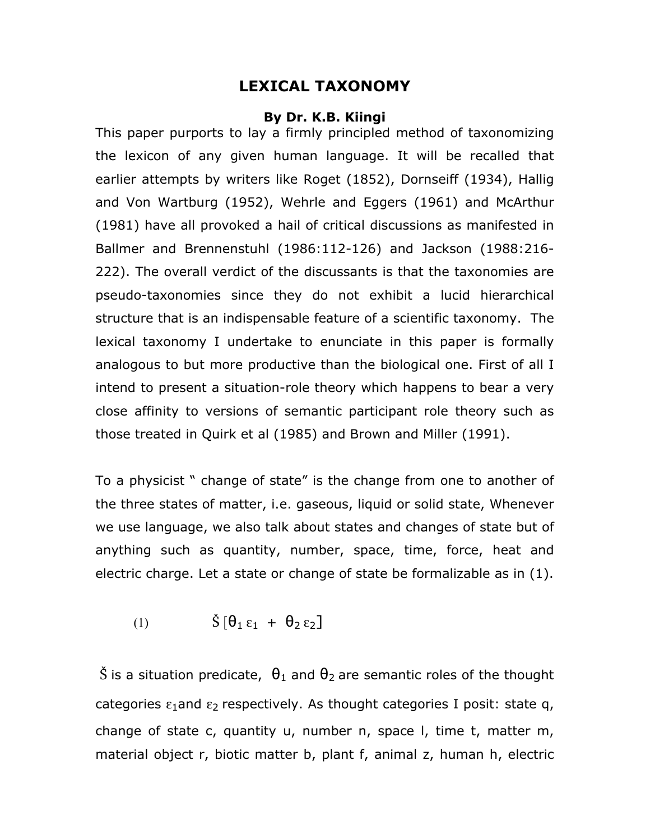## **LEXICAL TAXONOMY**

## **By Dr. K.B. Kiingi**

This paper purports to lay a firmly principled method of taxonomizing the lexicon of any given human language. It will be recalled that earlier attempts by writers like Roget (1852), Dornseiff (1934), Hallig and Von Wartburg (1952), Wehrle and Eggers (1961) and McArthur (1981) have all provoked a hail of critical discussions as manifested in Ballmer and Brennenstuhl (1986:112-126) and Jackson (1988:216- 222). The overall verdict of the discussants is that the taxonomies are pseudo-taxonomies since they do not exhibit a lucid hierarchical structure that is an indispensable feature of a scientific taxonomy. The lexical taxonomy I undertake to enunciate in this paper is formally analogous to but more productive than the biological one. First of all I intend to present a situation-role theory which happens to bear a very close affinity to versions of semantic participant role theory such as those treated in Quirk et al (1985) and Brown and Miller (1991).

To a physicist " change of state" is the change from one to another of the three states of matter, i.e. gaseous, liquid or solid state, Whenever we use language, we also talk about states and changes of state but of anything such as quantity, number, space, time, force, heat and electric charge. Let a state or change of state be formalizable as in (1).

$$
(1) \qquad \qquad \check{S} \left[ \theta_1 \varepsilon_1 + \theta_2 \varepsilon_2 \right]
$$

Š is a situation predicate,  $\theta_1$  and  $\theta_2$  are semantic roles of the thought categories  $\epsilon_1$ and  $\epsilon_2$  respectively. As thought categories I posit: state q, change of state c, quantity u, number n, space l, time t, matter m, material object r, biotic matter b, plant f, animal z, human h, electric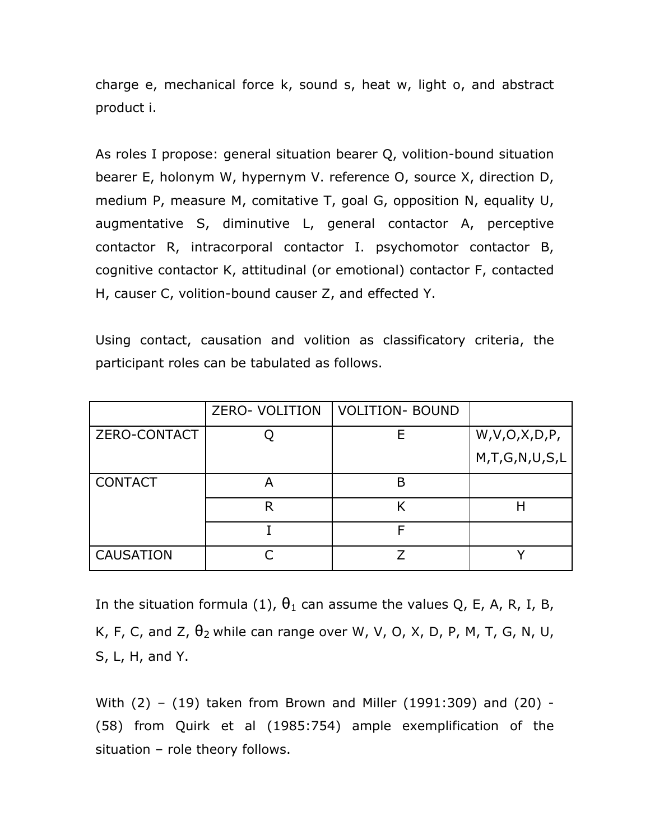charge e, mechanical force k, sound s, heat w, light o, and abstract product i.

As roles I propose: general situation bearer Q, volition-bound situation bearer E, holonym W, hypernym V. reference O, source X, direction D, medium P, measure M, comitative T, goal G, opposition N, equality U, augmentative S, diminutive L, general contactor A, perceptive contactor R, intracorporal contactor I. psychomotor contactor B, cognitive contactor K, attitudinal (or emotional) contactor F, contacted H, causer C, volition-bound causer Z, and effected Y.

Using contact, causation and volition as classificatory criteria, the participant roles can be tabulated as follows.

|                     | <b>ZERO- VOLITION</b> | <b>VOLITION- BOUND</b> |                   |
|---------------------|-----------------------|------------------------|-------------------|
| <b>ZERO-CONTACT</b> |                       |                        | W, V, O, X, D, P, |
|                     |                       |                        | M,T,G,N,U,S,L     |
| <b>CONTACT</b>      |                       | B                      |                   |
|                     | R                     |                        |                   |
|                     |                       |                        |                   |
| <b>CAUSATION</b>    |                       |                        |                   |

In the situation formula (1),  $\theta_1$  can assume the values Q, E, A, R, I, B, K, F, C, and Z,  $\theta_2$  while can range over W, V, O, X, D, P, M, T, G, N, U, S, L, H, and Y.

With (2) – (19) taken from Brown and Miller (1991:309) and (20) - (58) from Quirk et al (1985:754) ample exemplification of the situation – role theory follows.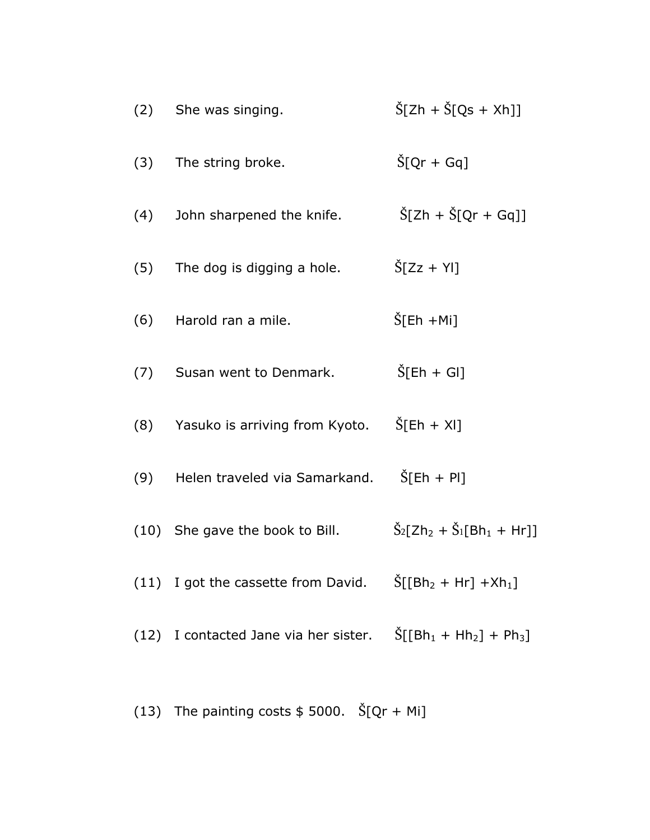| (2) | She was singing.                                                                            | $\rm \check{S}[\rm Zh + \check{S}[Qs + Xh]]$                           |
|-----|---------------------------------------------------------------------------------------------|------------------------------------------------------------------------|
| (3) | The string broke.                                                                           | $\rm \dot{S}$ [Qr + Gq]                                                |
| (4) | John sharpened the knife.                                                                   | $\rm \dot{S}$ [Zh + $\rm \dot{S}$ [Qr + Gq]]                           |
| (5) | The dog is digging a hole.                                                                  | $\tilde{S}$ [Zz + YI]                                                  |
|     | (6) Harold ran a mile.                                                                      | $\text{S}[\text{E}h + \text{Mi}]$                                      |
|     | (7) Susan went to Denmark.                                                                  | $\tilde{S}$ [Eh + GI]                                                  |
|     | (8) Yasuko is arriving from Kyoto.                                                          | $\tilde{S}$ [Eh + XI]                                                  |
| (9) | Helen traveled via Samarkand.                                                               | $\text{Š}[\text{Eh} + \text{Pl}]$                                      |
|     | (10) She gave the book to Bill.                                                             | $\check{S}_2$ [Zh <sub>2</sub> + $\check{S}_1$ [Bh <sub>1</sub> + Hr]] |
|     | (11) I got the cassette from David. $\text{S}[[\text{Bh}_2 + \text{Hr}] + \text{Xh}_1]$     |                                                                        |
|     | (12) I contacted Jane via her sister. $\text{S}[[\text{Bh}_1 + \text{Hh}_2] + \text{Ph}_3]$ |                                                                        |
|     |                                                                                             |                                                                        |

(13) The painting costs  $$5000.$   $\text{\r{S}}[Qr + Mi]$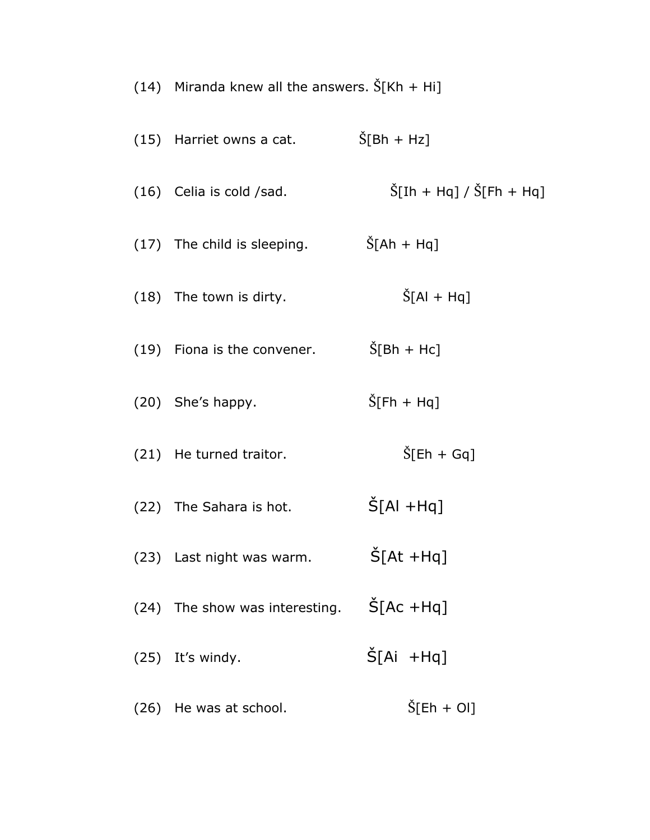| (14) Miranda knew all the answers. $\tilde{S}[Kh + Hi]$ |                                                                     |  |
|---------------------------------------------------------|---------------------------------------------------------------------|--|
| (15) Harriet owns a cat.                                | $\tilde{S}$ [Bh + Hz]                                               |  |
| $(16)$ Celia is cold /sad.                              | $\text{Š}[\text{I}h + \text{Hq}] / \text{Š}[\text{F}h + \text{Hq}]$ |  |
| (17) The child is sleeping.                             | $\rm \dot{S}[\rm Ah + Hq]$                                          |  |
| (18) The town is dirty.                                 | $\tilde{S}$ [Al + Hq]                                               |  |
| (19) Fiona is the convener.                             | $\rm \dot{S}[\rm Bh + Hc]$                                          |  |
| (20) She's happy.                                       | $\rm \dot{S}$ [Fh + Hq]                                             |  |
| (21) He turned traitor.                                 | $\rm \dot S$ [Eh + Gq]                                              |  |
| (22) The Sahara is hot.                                 | $\rm \dot{S}$ [Al +Hq]                                              |  |
| (23) Last night was warm.                               | $\check{S}[At + Hq]$                                                |  |
| (24) The show was interesting.                          | $\rm \dot{S}$ [Ac +Hq]                                              |  |
| (25) It's windy.                                        | $\tilde{S}$ [Ai +Hq]                                                |  |
| (26) He was at school.                                  | $\check{S}$ [Eh + Ol]                                               |  |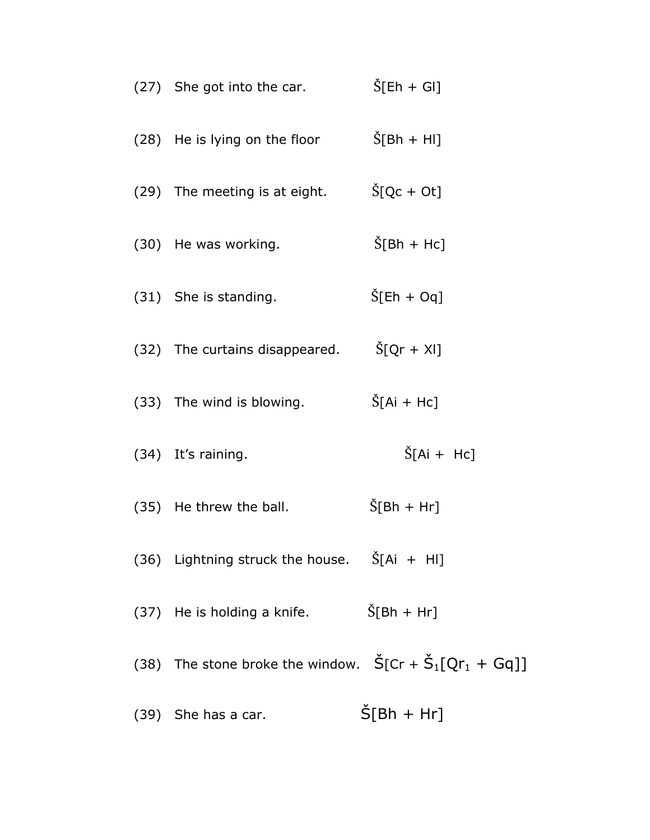| (27) She got into the car.                                                               | $\tilde{S}$ [Eh + GI]            |
|------------------------------------------------------------------------------------------|----------------------------------|
| (28) He is lying on the floor                                                            | $\tilde{S}$ [Bh + HI]            |
| (29) The meeting is at eight.                                                            | $\rm \dot{S}$ [Qc + Ot]          |
| (30) He was working.                                                                     | $\rm \dot{S}$ [Bh + Hc]          |
| (31) She is standing.                                                                    | $\tilde{S}$ [Eh + Oq]            |
| (32) The curtains disappeared.                                                           | $\text{S}[\text{Qr} + \text{X}]$ |
| (33) The wind is blowing.                                                                | $\tilde{S}$ [Ai + Hc]            |
| (34) It's raining.                                                                       | $\tilde{S}$ [Ai + Hc]            |
| (35) He threw the ball.                                                                  | $\tilde{S}[Bh + Hr]$             |
| (36) Lightning struck the house. $\check{S}[Ai + HI]$                                    |                                  |
| (37) He is holding a knife. $\check{S}[Bh + Hr]$                                         |                                  |
| (38) The stone broke the window. $\check{S}$ [Cr + $\check{S}_1$ [Qr <sub>1</sub> + Gq]] |                                  |
| (39) She has a car.                                                                      | $\rm \dot{S}[\rm{B}h + Hr]$      |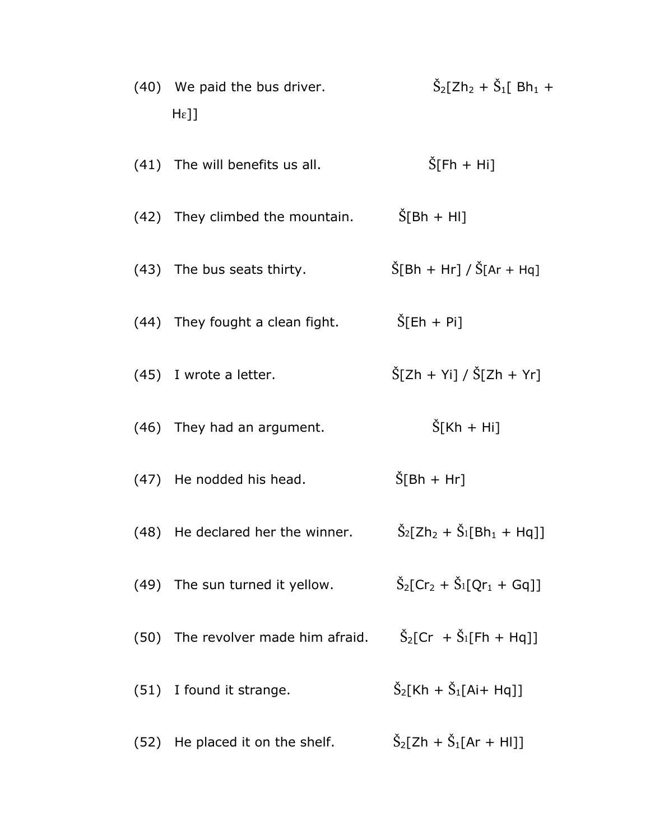| (40) We paid the bus driver.<br>$He$ ]] | $\check{S}_2$ [Zh <sub>2</sub> + $\check{S}_1$ [ Bh <sub>1</sub> +     |  |
|-----------------------------------------|------------------------------------------------------------------------|--|
| (41) The will benefits us all.          | $\rm \dot{S}$ [Fh + Hi]                                                |  |
| (42) They climbed the mountain.         | $\rm \dot{S}$ [Bh + HI]                                                |  |
| (43) The bus seats thirty.              | $\widetilde{S}[Bh + Hr] / \widetilde{S}[Ar + Hq]$                      |  |
| (44) They fought a clean fight.         | $\tilde{S}$ [Eh + Pi]                                                  |  |
| $(45)$ I wrote a letter.                | $\widetilde{S}[Zh + Yi] / \widetilde{S}[Zh + Yr]$                      |  |
| (46) They had an argument.              | $\tilde{S}$ [Kh + Hi]                                                  |  |
| (47) He nodded his head.                | $\rm \check{S}$ [Bh + Hr]                                              |  |
| (48) He declared her the winner.        | $\rm \check{S}_2[Zh_2 + \check{S}_1[Bh_1 + Hq]]$                       |  |
| (49) The sun turned it yellow.          | $\tilde{S}_2$ [Cr <sub>2</sub> + $\tilde{S}_1$ [Qr <sub>1</sub> + Gq]] |  |
| (50) The revolver made him afraid.      | $\rm \dot{S}_2[Cr + \dot{S}_1[Fh + Hq]]$                               |  |
| (51) I found it strange.                | $\check{S}_2$ [Kh + $\check{S}_1$ [Ai+ Hq]]                            |  |
| (52) He placed it on the shelf.         | $\check{S}_2$ [Zh + $\check{S}_1$ [Ar + HI]]                           |  |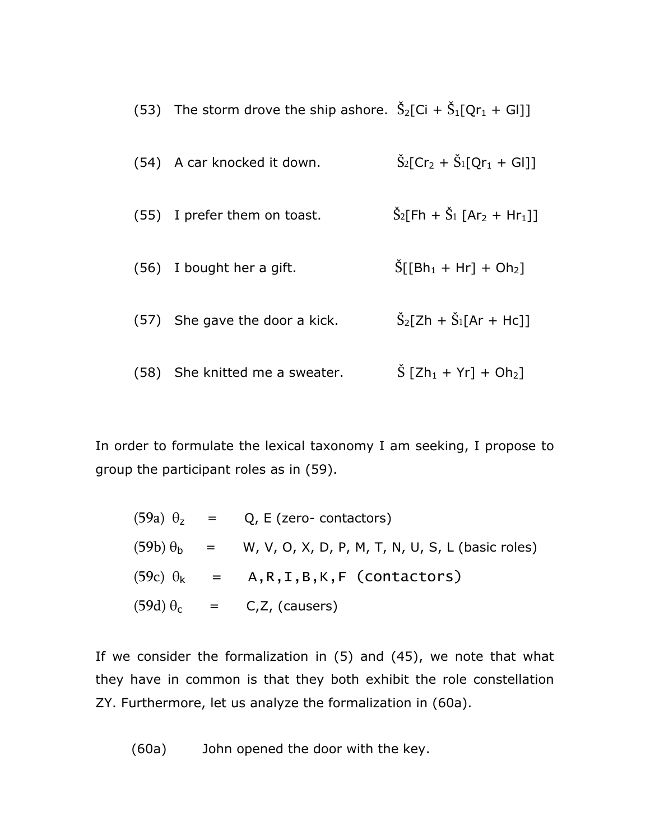| (53) The storm drove the ship ashore. $S_2[C_i + S_1[Qr_1 + Gl]]$ |                                                                            |
|-------------------------------------------------------------------|----------------------------------------------------------------------------|
| (54) A car knocked it down.                                       | $\rm \dot{S}_2$ [Cr <sub>2</sub> + $\rm \dot{S}_1$ [Qr <sub>1</sub> + Gl]] |
| (55) I prefer them on toast.                                      | $\check{S}_2$ [Fh + $\check{S}_1$ [Ar <sub>2</sub> + Hr <sub>1</sub> ]]    |
| (56) I bought her a gift.                                         | $\text{S}[[Bh_1 + Hr] + Oh_2]$                                             |
| (57) She gave the door a kick.                                    | $\check{S}_2$ [Zh + $\check{S}_1$ [Ar + Hc]]                               |
| (58) She knitted me a sweater.                                    | $\rm \dot{S}$ [Zh <sub>1</sub> + Yr] + Oh <sub>2</sub> ]                   |

In order to formulate the lexical taxonomy I am seeking, I propose to group the participant roles as in (59).

|  | $(59a)$ $\theta$ <sub>z</sub> = Q, E (zero- contactors)             |
|--|---------------------------------------------------------------------|
|  | $(59b) \theta_b$ = W, V, O, X, D, P, M, T, N, U, S, L (basic roles) |
|  | $(59c) \theta_k$ = A,R,I,B,K,F (contactors)                         |
|  | $(59d) \theta_c$ = C,Z, (causers)                                   |

If we consider the formalization in (5) and (45), we note that what they have in common is that they both exhibit the role constellation ZY. Furthermore, let us analyze the formalization in (60a).

(60a) John opened the door with the key.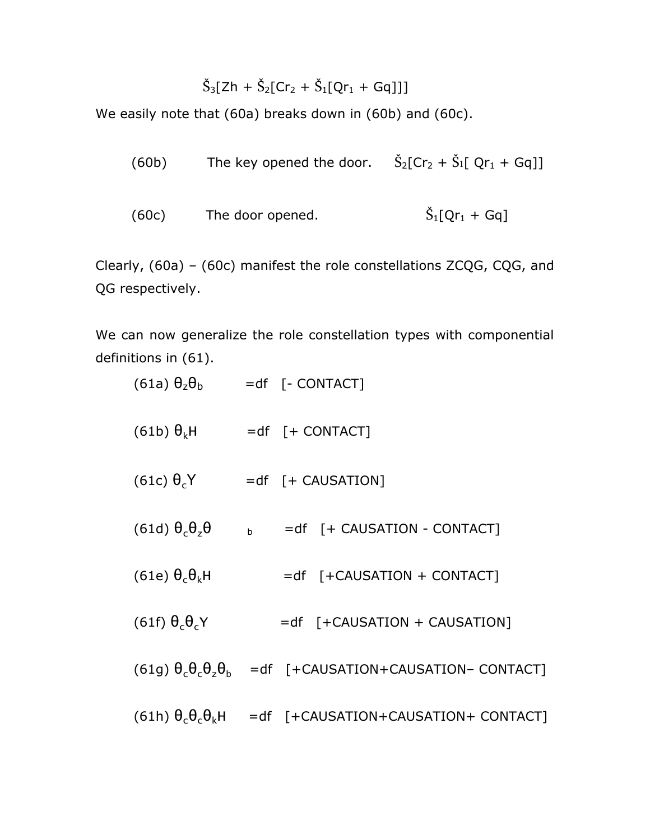$$
\check{S}_3[Zh + \check{S}_2[Cr_2 + \check{S}_1[Qr_1 + Gq]]]
$$

We easily note that (60a) breaks down in (60b) and (60c).

| (60b) | The key opened the door. $\check{S}_2$ $\check{C}r_2 + \check{S}_1$ $\check{C}r_1 + \check{G}q$ $\check{C}$ |                  |
|-------|-------------------------------------------------------------------------------------------------------------|------------------|
| (60c) | The door opened.                                                                                            | $S_1[Qr_1 + Gq]$ |

Clearly, (60a) – (60c) manifest the role constellations ZCQG, CQG, and QG respectively.

We can now generalize the role constellation types with componential definitions in (61).

| $(61a) \theta_z \theta_b$ =df [- CONTACT] |   |                                                                                  |
|-------------------------------------------|---|----------------------------------------------------------------------------------|
| $(61b)$ $\theta_k$ H                      |   | $= df$ $[+$ CONTACT]                                                             |
| $(61c) \theta_{c}Y$                       |   | $= df$ $[ + CAUSATION]$                                                          |
| $(61d) \theta_{c} \theta_{z} \theta$      | b | =df [+ CAUSATION - CONTACT]                                                      |
| (61e) $\theta_c\theta_kH$                 |   | $= df$ [+CAUSATION + CONTACT]                                                    |
| $(61f) \theta_c \theta_c Y$               |   | $= df$ [+CAUSATION + CAUSATION]                                                  |
|                                           |   | $(61g) \theta_c \theta_c \theta_z \theta_h$ = df [+CAUSATION+CAUSATION- CONTACT] |
|                                           |   | $(61h) \theta_c \theta_c \theta_k$ H = df [+CAUSATION+CAUSATION+ CONTACT]        |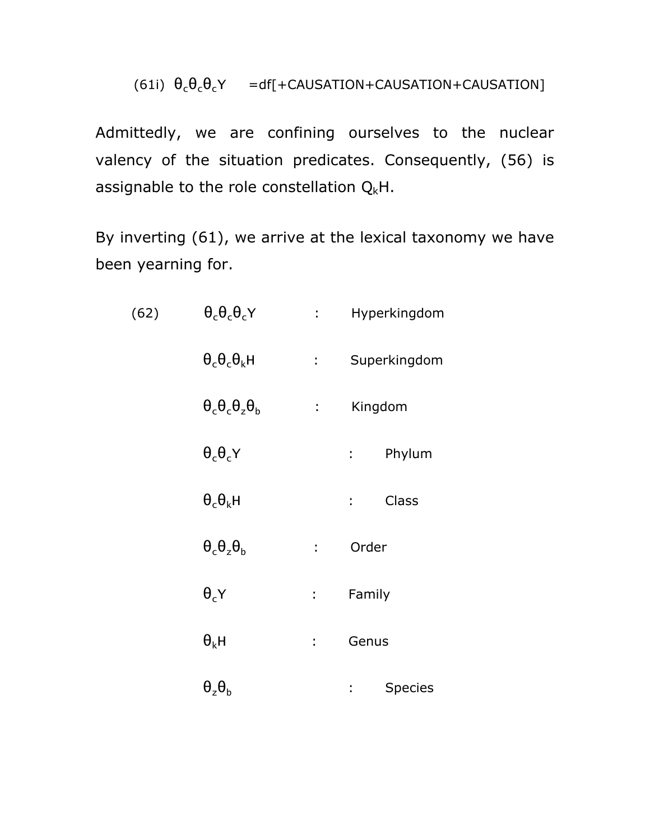## (61i)  $\theta_c \theta_c \theta_c Y = df[+CAUSTION+CAUSTION+CAUSTION]$

Admittedly, we are confining ourselves to the nuclear valency of the situation predicates. Consequently, (56) is assignable to the role constellation  $Q_kH$ .

By inverting (61), we arrive at the lexical taxonomy we have been yearning for.

| (62) | $\theta_c\theta_c\theta_cY$        | $1 - 1$                   | Hyperkingdom                |
|------|------------------------------------|---------------------------|-----------------------------|
|      | $\theta_c \theta_c \theta_k H$     | $1 - 1$                   | Superkingdom                |
|      | $\theta_c\theta_c\theta_z\theta_b$ | $\sim 10^{-10}$           | Kingdom                     |
|      | $\theta_c \theta_c Y$              |                           | Phylum<br>$1 - 1$           |
|      | $\theta_c\theta_k$ H               |                           | Class<br>$\mathbb{R}^{n+1}$ |
|      | $\theta_c\theta_z\theta_h$         | ÷.                        | Order                       |
|      | $\theta_c$ Y                       | $\mathbf{L}^{\text{max}}$ | Family                      |
|      | $\theta_{k}$ H                     | t.                        | Genus                       |
|      | $\theta_{z}\theta_{h}$             |                           | Species<br>t,               |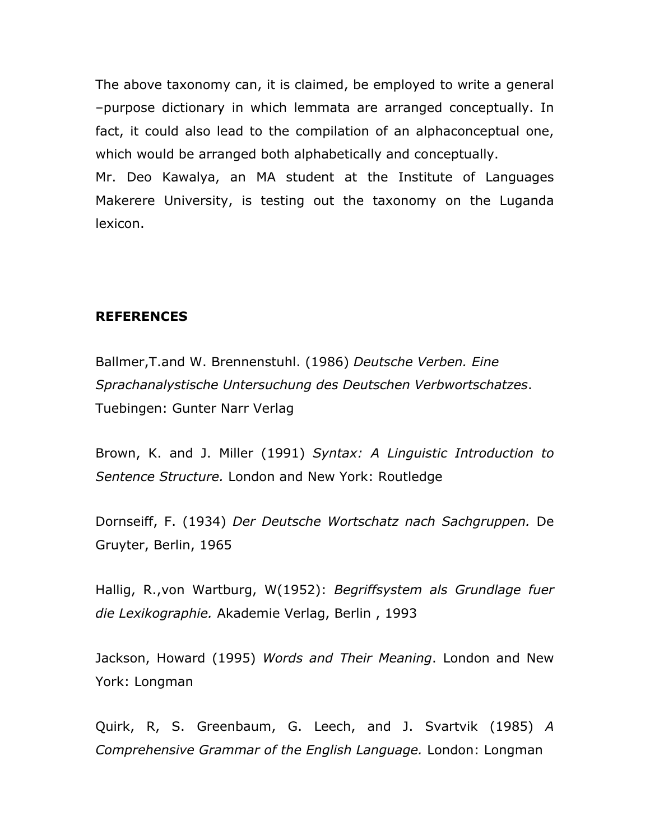The above taxonomy can, it is claimed, be employed to write a general –purpose dictionary in which lemmata are arranged conceptually. In fact, it could also lead to the compilation of an alphaconceptual one, which would be arranged both alphabetically and conceptually.

Mr. Deo Kawalya, an MA student at the Institute of Languages Makerere University, is testing out the taxonomy on the Luganda lexicon.

## **REFERENCES**

Ballmer,T.and W. Brennenstuhl. (1986) *Deutsche Verben. Eine Sprachanalystische Untersuchung des Deutschen Verbwortschatzes*. Tuebingen: Gunter Narr Verlag

Brown, K. and J. Miller (1991) *Syntax: A Linguistic Introduction to Sentence Structure.* London and New York: Routledge

Dornseiff, F. (1934) *Der Deutsche Wortschatz nach Sachgruppen.* De Gruyter, Berlin, 1965

Hallig, R.,von Wartburg, W(1952): *Begriffsystem als Grundlage fuer die Lexikographie.* Akademie Verlag, Berlin , 1993

Jackson, Howard (1995) *Words and Their Meaning*. London and New York: Longman

Quirk, R, S. Greenbaum, G. Leech, and J. Svartvik (1985) *A Comprehensive Grammar of the English Language.* London: Longman